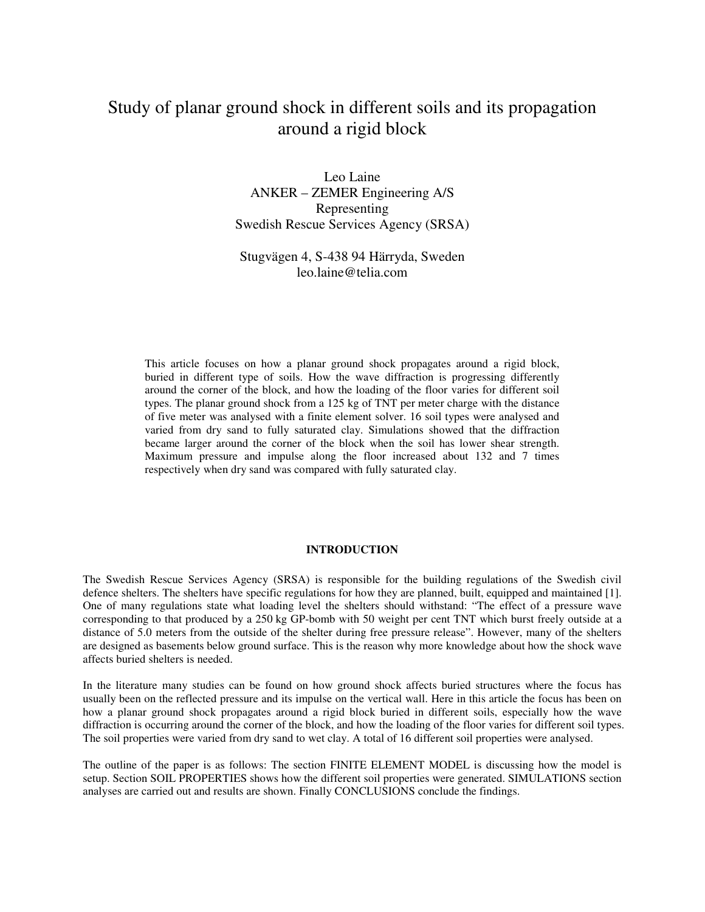# Study of planar ground shock in different soils and its propagation around a rigid block

Leo Laine ANKER – ZEMER Engineering A/S Representing Swedish Rescue Services Agency (SRSA)

Stugvägen 4, S-438 94 Härryda, Sweden leo.laine@telia.com

This article focuses on how a planar ground shock propagates around a rigid block, buried in different type of soils. How the wave diffraction is progressing differently around the corner of the block, and how the loading of the floor varies for different soil types. The planar ground shock from a 125 kg of TNT per meter charge with the distance of five meter was analysed with a finite element solver. 16 soil types were analysed and varied from dry sand to fully saturated clay. Simulations showed that the diffraction became larger around the corner of the block when the soil has lower shear strength. Maximum pressure and impulse along the floor increased about 132 and 7 times respectively when dry sand was compared with fully saturated clay.

### **INTRODUCTION**

The Swedish Rescue Services Agency (SRSA) is responsible for the building regulations of the Swedish civil defence shelters. The shelters have specific regulations for how they are planned, built, equipped and maintained [1]. One of many regulations state what loading level the shelters should withstand: "The effect of a pressure wave corresponding to that produced by a 250 kg GP-bomb with 50 weight per cent TNT which burst freely outside at a distance of 5.0 meters from the outside of the shelter during free pressure release". However, many of the shelters are designed as basements below ground surface. This is the reason why more knowledge about how the shock wave affects buried shelters is needed.

In the literature many studies can be found on how ground shock affects buried structures where the focus has usually been on the reflected pressure and its impulse on the vertical wall. Here in this article the focus has been on how a planar ground shock propagates around a rigid block buried in different soils, especially how the wave diffraction is occurring around the corner of the block, and how the loading of the floor varies for different soil types. The soil properties were varied from dry sand to wet clay. A total of 16 different soil properties were analysed.

The outline of the paper is as follows: The section FINITE ELEMENT MODEL is discussing how the model is setup. Section SOIL PROPERTIES shows how the different soil properties were generated. SIMULATIONS section analyses are carried out and results are shown. Finally CONCLUSIONS conclude the findings.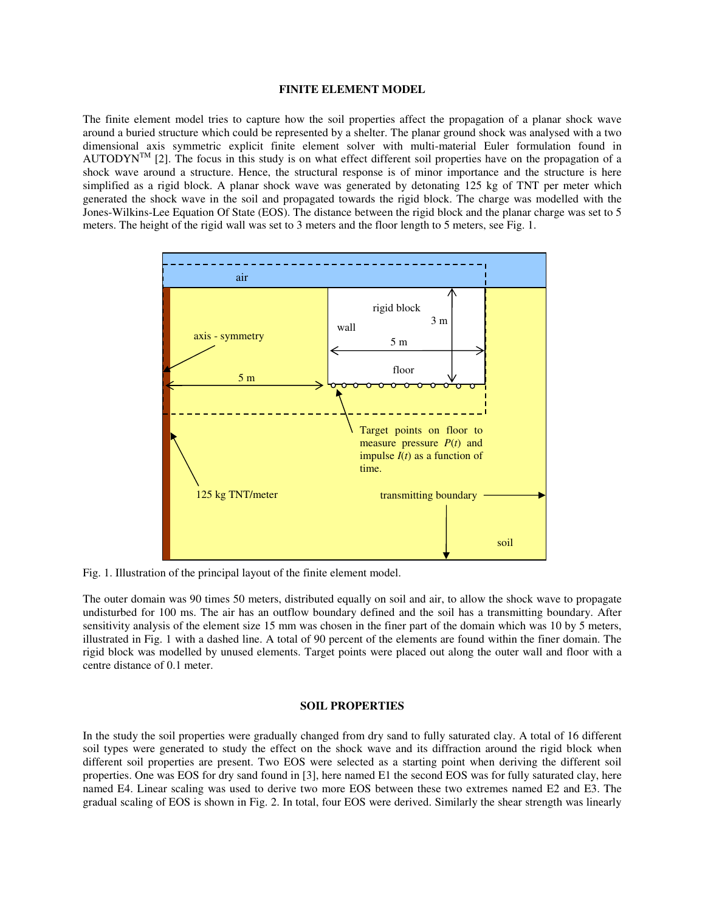# **FINITE ELEMENT MODEL**

The finite element model tries to capture how the soil properties affect the propagation of a planar shock wave around a buried structure which could be represented by a shelter. The planar ground shock was analysed with a two dimensional axis symmetric explicit finite element solver with multi-material Euler formulation found in AUTODYN<sup>TM</sup> [2]. The focus in this study is on what effect different soil properties have on the propagation of a shock wave around a structure. Hence, the structural response is of minor importance and the structure is here simplified as a rigid block. A planar shock wave was generated by detonating 125 kg of TNT per meter which generated the shock wave in the soil and propagated towards the rigid block. The charge was modelled with the Jones-Wilkins-Lee Equation Of State (EOS). The distance between the rigid block and the planar charge was set to 5 meters. The height of the rigid wall was set to 3 meters and the floor length to 5 meters, see Fig. 1.



Fig. 1. Illustration of the principal layout of the finite element model.

The outer domain was 90 times 50 meters, distributed equally on soil and air, to allow the shock wave to propagate undisturbed for 100 ms. The air has an outflow boundary defined and the soil has a transmitting boundary. After sensitivity analysis of the element size 15 mm was chosen in the finer part of the domain which was 10 by 5 meters, illustrated in Fig. 1 with a dashed line. A total of 90 percent of the elements are found within the finer domain. The rigid block was modelled by unused elements. Target points were placed out along the outer wall and floor with a centre distance of 0.1 meter.

## **SOIL PROPERTIES**

In the study the soil properties were gradually changed from dry sand to fully saturated clay. A total of 16 different soil types were generated to study the effect on the shock wave and its diffraction around the rigid block when different soil properties are present. Two EOS were selected as a starting point when deriving the different soil properties. One was EOS for dry sand found in [3], here named E1 the second EOS was for fully saturated clay, here named E4. Linear scaling was used to derive two more EOS between these two extremes named E2 and E3. The gradual scaling of EOS is shown in Fig. 2. In total, four EOS were derived. Similarly the shear strength was linearly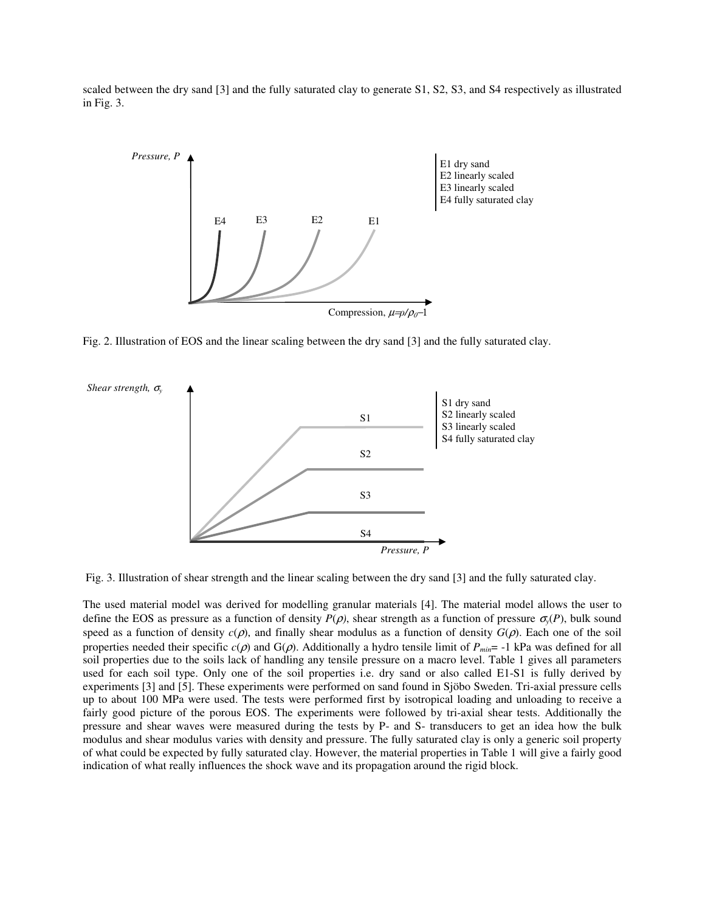scaled between the dry sand [3] and the fully saturated clay to generate S1, S2, S3, and S4 respectively as illustrated in Fig. 3.



Fig. 2. Illustration of EOS and the linear scaling between the dry sand [3] and the fully saturated clay.



Fig. 3. Illustration of shear strength and the linear scaling between the dry sand [3] and the fully saturated clay.

The used material model was derived for modelling granular materials [4]. The material model allows the user to define the EOS as pressure as a function of density  $P(\rho)$ , shear strength as a function of pressure  $\sigma_{\gamma}(P)$ , bulk sound speed as a function of density  $c(\rho)$ , and finally shear modulus as a function of density  $G(\rho)$ . Each one of the soil properties needed their specific  $c(\rho)$  and  $G(\rho)$ . Additionally a hydro tensile limit of  $P_{min}$  = -1 kPa was defined for all soil properties due to the soils lack of handling any tensile pressure on a macro level. Table 1 gives all parameters used for each soil type. Only one of the soil properties i.e. dry sand or also called E1-S1 is fully derived by experiments [3] and [5]. These experiments were performed on sand found in Sjöbo Sweden. Tri-axial pressure cells up to about 100 MPa were used. The tests were performed first by isotropical loading and unloading to receive a fairly good picture of the porous EOS. The experiments were followed by tri-axial shear tests. Additionally the pressure and shear waves were measured during the tests by P- and S- transducers to get an idea how the bulk modulus and shear modulus varies with density and pressure. The fully saturated clay is only a generic soil property of what could be expected by fully saturated clay. However, the material properties in Table 1 will give a fairly good indication of what really influences the shock wave and its propagation around the rigid block.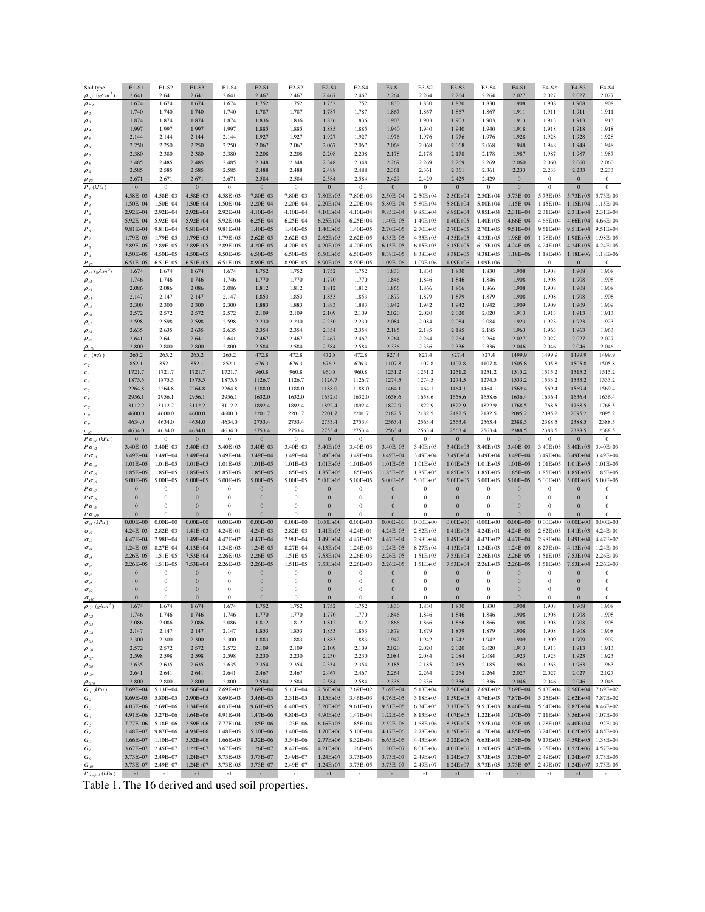| Soil type                                | $E1-S1$          | E1-S2            | $E1-S3$          | E1-S4            | $E2-S1$          | $E2-S2$          | E2-S3            | E2-S4            | $E3-S1$          | E3-S2            | E3-S3            | E3-S4            | E4-S1            | E4-S2            | E4-S3                | E4-S4            |
|------------------------------------------|------------------|------------------|------------------|------------------|------------------|------------------|------------------|------------------|------------------|------------------|------------------|------------------|------------------|------------------|----------------------|------------------|
| $(g/cm^3)$                               | 2.641            | 2.641            | 2.641            | 2.641            | 2.467            | 2.467            | 2.467            | 2.467            | 2.264            | 2.264            | 2.264            | 2.264            | 2.027            | 2.027            | 2.027                | 2.027            |
| $\rho_{PI}$                              | 1.674            | 1.674            | 1.674            | 1.674            | 1.752            | 1.752            | 1.752            | 1.752            | 1.830            | 1.830            | 1.830            | 1.830            | 1.908            | 1.908            | 1.908                | 1.908            |
| $\rho_{2}$                               | 1.740            | 1.740            | 1.740            | 1.740            | 1.787            | 1.787            | 1.787            | 1.787            | 1.867            | 1.867            | 1.867            | 1.867            | 1.911            | 1.911            | 1.911                | 1.911            |
| $\rho$ ,                                 | 1.874            | 1.874            | 1.874            | 1.874            | 1.836            | 1.836            | 1.836            | 1.836            | 1.903            | 1.903            | 1.903            | 1.903            | 1.913            | 1.913            | 1.913                | 1.913            |
| $\rho$ 4                                 | 1.997            | 1.997            | 1.997            | 1.997            | 1.885            | 1.885            | 1.885            | 1.885            | 1.940            | 1.940            | 1.940            | 1.940            | 1.918            | 1.918            | 1.918                | 1.918            |
|                                          | 2.144            | 2.144            | 2.144            | 2.144            | 1.927            | 1.927            | 1.927            | 1.927            | 1.976            | 1.976            | 1.976            | 1.976            | 1.928            | 1.928            | 1.928                | 1.928            |
| $\rho_s$                                 | 2.250            | 2.250            | 2.250            | 2.250            | 2.067            | 2.067            | 2.067            | 2.067            | 2.068            | 2.068            | 2.068            | 2.068            | 1.948            | 1.948            | 1.948                | 1.948            |
| $\rho_{\delta}$                          |                  |                  |                  |                  |                  |                  |                  |                  |                  |                  |                  |                  |                  |                  |                      |                  |
|                                          | 2.380            | 2.380            | 2.380            | 2.380            | 2.208            | 2.208            | 2.208            | 2.208            | 2.178            | 2.178            | 2.178            | 2.178            | 1.987            | 1.987            | 1.987                | 1.987            |
|                                          | 2.485            | 2.485            | 2.485            | 2.485            | 2.348            | 2.348            | 2.348            | 2.348            | 2.269            | 2.269            | 2.269            | 2.269            | 2.060            | 2.060            | 2.060                | 2.060            |
| $\rho$ g                                 | 2.585            | 2.585            | 2.585            | 2.585            | 2.488            | 2.488            | 2.488            | 2.488            | 2.361            | 2.361            | 2.361            | 2.361            | 2.233            | 2.233            | 2.233                | 2.233            |
|                                          | 2.671            | 2.671            | 2.671            | 2.671            | 2.584            | 2.584            | 2.584            | 2.584            | 2.429            | 2.429            | 2.429            | 2.429            | $\boldsymbol{0}$ | $\bf{0}$         | $\bf{0}$             | $\boldsymbol{0}$ |
| $P_i(kPa)$                               | $\boldsymbol{0}$ | $\bf{0}$         | $\boldsymbol{0}$ | $\boldsymbol{0}$ | $\bf{0}$         | $\boldsymbol{0}$ | $\bf{0}$         | $\boldsymbol{0}$ | $\bf{0}$         | $\boldsymbol{0}$ | $\boldsymbol{0}$ | $\boldsymbol{0}$ | $\boldsymbol{0}$ | $\boldsymbol{0}$ | $\bf{0}$             | $\boldsymbol{0}$ |
| Ρ,                                       | 4.58E+03         | 4.58E+03         | 4.58E+03         | 4.58E+03         | 7.80E+03         | 7.80E+03         | 7.80E+03         | 7.80E+03         | 2.50E+04         | 2.50E+04         | 2.50E+04         | 2.50E+04         | 5.73E+03         | 5.73E+03         | 5.73E+03             | 5.73E+03         |
|                                          | 1.50E+04         | $1.50E + 04$     | 1.50E+04         | 1.50E+04         | 2.20E+04         | 2.20E+04         | 2.20E+04         | 2.20E+04         | 5.80E+04         | 5.80E+04         | 5.80E+04         | 5.80E+04         | $1.15E + 04$     | 1.15E+04         | $1.15E + 04$         | 1.15E+04         |
| $\boldsymbol{P}_4$                       | 2.92E+04         | $2.92E + 04$     | 2.92E+04         | $2.92E + 04$     | $4.10E + 04$     | $4.10E + 04$     | 4.10E+04         | 4.10E+04         | 9.85E+04         | 9.85E+04         | 9.85E+04         | 9.85E+04         | 2.31E+04         | 2.31E+04         | $2.31E + 04$         | 2.31E+04         |
| $P_{S}$                                  | 5.92E+04         | $5.92E + 04$     | 5.92E+04         | $5.92E + 04$     | 6.25E+04         | 6.25E+04         | 6.25E+04         | 6.25E+04         | $1.40E + 05$     | 1.40E+05         | $1.40E + 05$     | $1.40E + 05$     | $4.66E + 04$     | $4.66E + 04$     | $4.66E + 04$         | 4.66E+04         |
| $\boldsymbol{P}_6$                       | 9.81E+04         | 9.81E+04         | 9.81E+04         | $9.81E + 04$     | $1.40E + 05$     | $1.40E + 05$     | $1.40E + 05$     | $1.40E + 05$     | 2.70E+05         | 2.70E+05         | 2.70E+05         | 2.70E+05         | 9.51E+04         | 9.51E+04         | 9.51E+04             | 9.51E+04         |
|                                          | 1.79E+05         | 1.79E+05         | $1.79E + 05$     | 1.79E+05         | $2.62E + 05$     | $2.62E + 05$     | $2.62E + 05$     | $2.62E + 05$     | 4.35E+05         | 4.35E+05         | 4.35E+05         | 4.35E+05         | 1.98E+05         | 1.98E+05         | 1.98E+05             | 1.98E+05         |
|                                          | 2.89E+05         | 2.89E+05         | 2.89E+05         | 2.89E+05         | $4.20E + 05$     | 4.20E+05         | $4.20E + 05$     | 4.20E+05         | $6.15E + 0.5$    | $6.15E + 05$     | 6.15E+05         | 6.15E+05         | $4.24E + 05$     | 4.24E+05         | $4.24E + 05$         | 4.24E+05         |
| Р,                                       | 4.50E+05         | 4.50E+05         | 4.50E+05         | 4.50E+05         | 6.50E+05         | 6.50E+05         | $6.50E + 05$     | 6.50E+05         | 8.38E+05         | 8.38E+05         | 8.38E+05         | 8.38E+05         | 1.18E+06         | 1.18E+06         | 1.18E+06             | 1.18E+06         |
|                                          | 6.51E+05         | $6.51E + 05$     | $6.51E + 05$     | $6.51E + 05$     | 8.90E+05         | 8.90E+05         | 8.90E+05         | 8.90E+05         | $1.09E + 06$     | 1.09E+06         | 1.09E+06         | 1.09E+06         | $\bf{0}$         | $\bf{0}$         | $\bf{0}$             | $\bf{0}$         |
| $\rho_{cl}$ (g/cm <sup>3</sup> )         | 1.674            | 1.674            | 1.674            | 1.674            | 1.752            | 1.752            | 1.752            | 1.752            | 1.830            | 1.830            | 1.830            | 1.830            | 1.908            | 1.908            | 1.908                | 1.908            |
| $\rho_{c2}$                              | 1.746            | 1.746            | 1.746            | 1.746            | 1.770            | 1.770            | 1.770            | 1.770            | 1.846            | 1.846            | 1.846            | 1.846            | 1.908            | 1.908            | 1.908                | 1.908            |
| $\rho_{\scriptscriptstyle cl}$           | 2.086            | 2.086            | 2.086            | 2.086            | 1.812            | 1.812            | 1.812            | 1.812            | 1.866            | 1.866            | 1.866            | 1.866            | 1.908            | 1.908            | 1.908                | 1.908            |
| $\rho_{\scriptscriptstyle cl}$           | 2.147            | 2.147            | 2.147            | 2.147            | 1.853            | 1.853            | 1.853            | 1.853            | 1.879            | 1.879            | 1.879            | 1.879            | 1.908            | 1.908            | 1.908                | 1.908            |
| $\rho_{\textit{cs}}$                     | 2.300            | 2.300            | 2.300            | 2.300            | 1.883            | 1.883            | 1.883            | 1.883            | 1.942            | 1.942            | 1.942            | 1.942            | 1.909            | 1.909            | 1.909                | 1.909            |
| $\rho_{\scriptscriptstyle{c6}}$          | 2.572            | 2.572            | 2.572            | 2.572            | 2.109            | 2.109            | 2.109            | 2.109            | 2.020            | 2.020            | 2.020            | 2.020            | 1.913            | 1.913            | 1.913                | 1.913            |
| $\rho_{c7}$                              | 2.598            | 2.598            | 2.598            | 2.598            | 2.230            | 2.230            | 2.230            | 2.230            | 2.084            | 2.084            | 2.084            | 2.084            | 1.923            | 1.923            | 1.923                | 1.923            |
| $\rho_{\scriptscriptstyle{c8}}$          | 2.635            | 2.635            | 2.635            | 2.635            | 2.354            | 2.354            | 2.354            | 2.354            | 2.185            | 2.185            | 2.185            | 2.185            | 1.963            | 1.963            | 1.963                | 1.963            |
| $\rho_{\scriptscriptstyle c^g}$          | 2.641            | 2.641            | 2.641            | 2.641            | 2.467            | 2.467            | 2.467            | 2.467            | 2.264            | 2.264            | 2.264            | 2.264            | 2.027            | 2.027            | 2.027                | 2.027            |
|                                          | 2.800            | 2.800            | 2.800            | 2.800            | 2.584            | 2.584            | 2.584            | 2.584            | 2.336            | 2.336            | 2.336            | 2.336            | 2.046            | 2.046            | 2.046                | 2.046            |
| $c_j$ (m/s)                              | 265.2            | 265.2            | 265.2            | 265.2            | 472.8            | 472.8            | 472.8            | 472.8            | 827.4            | 827.4            | 827.4            | 827.4            | 1499.9           | 1499.9           | 1499.9               | 1499.9           |
| $\cdot$                                  | 852.1            | 852.1            | 852.1            | 852.1            | 676.3            | 676.3            | 676.3            | 676.3            | 1107.8           | 1107.8           | 1107.8           | 1107.8           | 1505.8           | 1505.8           | 1505.8               | 1505.8           |
|                                          | 1721.7           | 1721.7           | 1721.7           | 1721.7           | 960.8            | 960.8            | 960.8            | 960.8            | 1251.2           | 1251.2           | 1251.2           | 1251.2           | 1515.2           | 1515.2           | 1515.2               | 1515.2           |
|                                          | 1875.5           | 1875.5           | 1875.5           | 1875.5           | 1126.7           | 1126.7           | 1126.7           | 1126.7           | 1274.5           | 1274.5           | 1274.5           | 1274.5           | 1533.2           | 1533.2           | 1533.2               | 1533.2           |
|                                          | 2264.8           | 2264.8           | 2264.8           | 2264.8           | 1188.0           | 1188.0           | 1188.0           | 1188.0           | 1464.1           | 1464.1           | 1464.1           | 1464.1           | 1569.4           | 1569.4           | 1569.4               | 1569.4           |
|                                          | 2956.1           | 2956.1           | 2956.1           | 2956.1           | 1632.0           | 1632.0           | 1632.0           | 1632.0           | 1658.6           | 1658.6           | 1658.6           | 1658.6           | 1636.4           | 1636.4           | 1636.4               | 1636.4           |
|                                          | 3112.2           | 3112.2           | 3112.2           | 3112.2           | 1892.4           | 1892.4           | 1892.4           | 1892.4           | 1822.9           | 1822.9           | 1822.9           | 1822.9           | 1768.5           | 1768.5           | 1768.5               | 1768.5           |
|                                          | 4600.0           | 4600.0           | 4600.0           | 4600.0           | 2201.7           | 2201.7           | 2201.7           | 2201.7           | 2182.5           | 2182.5           | 2182.5           | 2182.5           | 2095.2           | 2095.2           | 2095.2               | 2095.2           |
|                                          | 4634.0           | 4634.0           | 4634.0           | 4634.0           | 2753.4           | 2753.4           | 2753.4           | 2753.4           | 2563.4           | 2563.4           | 2563.4           | 2563.4           | 2388.5           | 2388.5           | 2388.5               | 2388.5           |
|                                          | 4634.0           | 4634.0           | 4634.0           | 4634.0           | 2753.4           | 2753.4           | 2753.4           | 2753.4           | 2563.4           | 2563.4           | 2563.4           | 2563.4           | 2388.5           | 2388.5           | 2388.5               | 2388.5           |
| $P \sigma_{yI} (kPa)$                    | $\mathbf{0}$     | $\boldsymbol{0}$ | $\boldsymbol{0}$ | $\boldsymbol{0}$ | $\boldsymbol{0}$ | $\boldsymbol{0}$ | $\boldsymbol{0}$ | $\,0\,$          | $\boldsymbol{0}$ | $\boldsymbol{0}$ | $\boldsymbol{0}$ | $\boldsymbol{0}$ | $\boldsymbol{0}$ | 0                | $\mathbf{0}$         | $\overline{0}$   |
|                                          |                  |                  |                  |                  |                  |                  |                  |                  |                  |                  |                  |                  |                  |                  |                      |                  |
| $P \sigma_{y2}$                          | 3.40E+03         | 3.40E+03         | 3.40E+03         | 3.40E+03         | 3.40E+03         | 3.40E+03         | 3.40E+03         | 3.40E+03         | $3.40E + 03$     | 3.40E+03         | 3.40E+03         | 3.40E+03         | $3.40E + 03$     | 3.40E+03         | $3.40E + 03$         | 3.40E+03         |
| $P \sigma_{y3}$                          | 3.49E+04         | 3.49E+04         | 3.49E+04         | 3.49E+04         | 3.49E+04         | 3.49E+04         | 3.49E+04         | 3.49E+04         | 3.49E+04         | 3.49E+04         | 3.49E+04         | 3.49E+04         | 3.49E+04         | 3.49E+04         | 3.49E+04             | 3.49E+04         |
| $P \sigma_{y4}$                          | $1.01E + 05$     | $1.01E + 05$     | $1.01E + 05$     | $1.01E + 05$     | $1.01E + 05$     | $1.01E + 05$     | $1.01E + 05$     | $1.01E + 05$     | $1.01E + 05$     | $1.01E + 05$     | $1.01E + 05$     | $1.01E + 05$     | $1.01E + 05$     | $1.01E + 05$     | $1.01E + 05$         | $1.01E + 05$     |
| $P \sigma_{\gamma 5}$                    | 1.85E+05         | 1.85E+05         | 1.85E+05         | 1.85E+05         | 1.85E+05         | 1.85E+05         | 1.85E+05         | 1.85E+05         | 1.85E+05         | 1.85E+05         | 1.85E+05         | 1.85E+05         | 1.85E+05         | 1.85E+05         | 1.85E+05             | 1.85E+05         |
| $P \sigma_{y6}$                          | 5.00E+05         | 5.00E+05         | 5.00E+05         | 5.00E+05         | 5.00E+05         | 5.00E+05         | 5.00E+05         | 5.00E+05         | 5.00E+05         | 5.00E+05         | 5.00E+05         | 5.00E+05         | $5.00E + 05$     | 5.00E+05         | $5.00E + 05$         | 5.00E+05         |
| $P\sigma_{y7}$                           | $\boldsymbol{0}$ | $\bf{0}$         | $\boldsymbol{0}$ | 0                | $\boldsymbol{0}$ | $\boldsymbol{0}$ | $\boldsymbol{0}$ | $\boldsymbol{0}$ | $\boldsymbol{0}$ | $\boldsymbol{0}$ | $\boldsymbol{0}$ | $\boldsymbol{0}$ | $\boldsymbol{0}$ | $\boldsymbol{0}$ | $\bf{0}$             | $\bf{0}$         |
| $P \sigma_{\rm y8}$                      | $\boldsymbol{0}$ | $\bf{0}$         | $\boldsymbol{0}$ | 0                | $\boldsymbol{0}$ | $\,0\,$          | $\bf{0}$         | $\boldsymbol{0}$ | $\boldsymbol{0}$ | $\boldsymbol{0}$ | $\boldsymbol{0}$ | $\boldsymbol{0}$ | $\boldsymbol{0}$ | $\boldsymbol{0}$ | $\boldsymbol{0}$     | $\boldsymbol{0}$ |
| P $\sigma_{\scriptscriptstyle y 9}$      | $\bf{0}$         | $\boldsymbol{0}$ | $\boldsymbol{0}$ | $\boldsymbol{0}$ | $\boldsymbol{0}$ | $\boldsymbol{0}$ | $\overline{0}$   | $\boldsymbol{0}$ | $\bf{0}$         | $\overline{0}$   | $\mathbf{0}$     | $\bf{0}$         | $\boldsymbol{0}$ | $\boldsymbol{0}$ | $\bf{0}$             | $\boldsymbol{0}$ |
| $P \sigma_{\text{v10}}$                  | $\bf{0}$         | $\Omega$         | $\bf{0}$         | 0                | $\bf{0}$         | $\overline{0}$   | $\Omega$         | $\boldsymbol{0}$ | $\bf{0}$         | $\overline{0}$   | $\overline{0}$   | $\Omega$         | $\Omega$         | $\theta$         | $\Omega$             | $\boldsymbol{0}$ |
| $\sigma_{yl}$ (kPa)                      | $0.00E + 00$     | $0.00E + 00$     | $0.00E + 00$     | $0.00E + 00$     | $0.00E + 00$     | $0.00E + 00$     | $0.00E + 00$     | $0.00E + 00$     | $0.00E + 00$     | $0.00E + 00$     | $0.00E + 00$     | $0.00E + 00$     | $0.00E + 00$     | $0.00E + 00$     | $0.00E + 00$         | $0.00E + 00$     |
| $\sigma_{\rm y2}$                        | $4.24E + 03$     | $2.82E + 03$     | $1.41E + 03$     | 4.24E+01         | 4.24E+03         | $2.82E + 03$     | $1.41E + 03$     | 4.24E+01         | 4.24E+03         | 2.82E+03         | 1.41E+03         | 4.24E+01         | $4.24E + 03$     | $2.82E + 03$     | $1.41E + 03$         | $4.24E + 01$     |
| $\sigma_{y3}$                            | 4.47E+04         | 2.98E+04         | $1.49E + 04$     | 4.47E+02         | $4.47E + 04$     | $2.98E + 04$     | 1.49E+04         | 4.47E+02         | 4.47E+04         | 2.98E+04         | $1.49E + 04$     | 4.47E+02         | 4.47E+04         | 2.98E+04         | 1.49E+04             | 4.47E+02         |
| $\sigma_{\rm{pf}}$                       | $1.24E + 05$     | 8.27E+04         | 4.13E+04         | $1.24E + 03$     | $1.24E + 05$     | 8.27E+04         | 4.13E+04         | 1.24E+03         | $1.24E + 05$     | 8.27E+04         | 4.13E+04         | $1.24E + 03$     | $1.24E + 05$     | 8.27E+04         | 4.13E+04             | $1.24E + 03$     |
| $\sigma_{\rm y5}$                        | $2.26E + 05$     | $1.51E + 05$     | 7.53E+04         | $2.26E + 03$     | 2.26E+05         | 1.51E+05         | 7.53E+04         | 2.26E+03         | $2.26E + 05$     | 1.51E+05         | 7.53E+04         | $2.26E + 03$     | $2.26E + 05$     | $1.51E + 05$     | 7.53E+04             | $2.26E + 03$     |
| $\sigma_{\scriptscriptstyle{\gamma 6}}$  | 2.26E+05         | $1.51E + 05$     | 7.53E+04         | $2.26E + 03$     | $2.26E + 05$     | 1.51E+05         | 7.53E+04         | 2.26E+03         | $2.26E + 05$     | 1.51E+05         | 7.53E+04         | $2.26E + 03$     | $2.26E + 05$     | $1.51E + 05$     | 7.53E+04             | 2.26E+03         |
| $\sigma_{\rm y7}$                        | $\boldsymbol{0}$ | $\bf{0}$         | $\boldsymbol{0}$ | $\boldsymbol{0}$ | $\boldsymbol{0}$ | $\boldsymbol{0}$ | $\boldsymbol{0}$ | $\boldsymbol{0}$ | $\boldsymbol{0}$ | $\boldsymbol{0}$ | $\boldsymbol{0}$ | $\overline{0}$   | $\boldsymbol{0}$ | $\bf{0}$         | $\bf{0}$             | $\bf{0}$         |
| $\sigma_{\scriptscriptstyle{y8}}$        | $\boldsymbol{0}$ | $\bf{0}$         | $\boldsymbol{0}$ | 0                | $\boldsymbol{0}$ | $\boldsymbol{0}$ | $\overline{0}$   | $\boldsymbol{0}$ | $\overline{0}$   | $\boldsymbol{0}$ | $\bf{0}$         | $\overline{0}$   | $\bf{0}$         | $\boldsymbol{0}$ | $\bf{0}$             | $\,0\,$          |
| $\sigma_{\scriptscriptstyle{y9}}$        | $\bf{0}$         | $\bf{0}$         | $\boldsymbol{0}$ | 0                | $\bf{0}$         | $\overline{0}$   | $\Omega$         | $\boldsymbol{0}$ | $\bf{0}$         | $\boldsymbol{0}$ | $\bf{0}$         | $\Omega$         | $\overline{0}$   | $\boldsymbol{0}$ | $\bf{0}$             | $\bf{0}$         |
|                                          | $\mathbf{0}$     |                  | $\boldsymbol{0}$ |                  | $\bf{0}$         |                  | $\mathbf{0}$     | $\theta$         | $\bf{0}$         | $\theta$         | $\bf{0}$         |                  | $\mathbf{0}$     |                  | $\mathbf{0}$         | $\bf{0}$         |
| $\rho_{GI}$ (g/cm <sup>3</sup> )         | 1.674            | 1.674            | 1.674            | 1.674            | 1.752            | 1.752            | 1.752            | 1.752            | 1.830            | 1.830            | 1.830            | 1.830            | 1.908            | 1.908            | 1.908                | 1.908            |
| $\rho_{\scriptscriptstyle G2}$           | 1.746            | 1.746            | 1.746            | 1.746            | 1.770            | 1.770            | 1.770            | 1.770            | 1.846            | 1.846            | 1.846            | 1.846            | 1.908            | 1.908            | 1.908                | 1.908            |
| $\rho_{\scriptscriptstyle{G3}}$          | 2.086            | 2.086            | 2.086            | 2.086            | 1.812            | 1.812            | 1.812            | 1.812            | 1.866            | 1.866            | 1.866            | 1.866            | 1.908            | 1.908            | 1.908                | 1.908            |
| $\rho_{G4}$                              | 2.147            | 2.147            | 2.147            | 2.147            | 1.853            | 1.853            | 1.853            | 1.853            | 1.879            | 1.879            | 1.879            | 1.879            | 1.908            | 1.908            | 1.908                | 1.908            |
| $\rho_{\textit{GS}}$                     | 2.300            | 2.300            | 2.300            | 2.300            | 1.883            | 1.883            | 1.883            | 1.883            | 1.942            | 1.942            | 1.942            | 1.942            | 1.909            | 1.909            | 1.909                | 1.909            |
| $\rho_{\rm\scriptscriptstyle GS}$        | 2.572            | 2.572            | 2.572            | 2.572            | 2.109            | 2.109            | 2.109            | 2.109            | 2.020            | 2.020            | 2.020            | 2.020            | 1.913            | 1.913            | 1.913                | 1.913            |
| $\rho_{\scriptscriptstyle G7}$           | 2.598            | 2.598            | 2.598            | 2.598            | 2.230            | 2.230            | 2.230            | 2.230            | 2.084            | 2.084            | 2.084            | 2.084            | 1.923            | 1.923            | 1.923                | 1.923            |
| $\rho_{\scriptscriptstyle{GS}}$          | 2.635            | 2.635            | 2.635            | 2.635            | 2.354            | 2.354            | 2.354            | 2.354            | 2.185            | 2.185            | 2.185            | 2.185            | 1.963            | 1.963            | 1.963                | 1.963            |
| $\rho_{\scriptscriptstyle G9}$           | 2.641<br>2.800   | 2.641<br>2.800   | 2.641<br>2.800   | 2.641<br>2.800   | 2.467<br>2.584   | 2.467<br>2.584   | 2.467<br>2.584   | 2.467<br>2.584   | 2.264<br>2.336   | 2.264<br>2.336   | 2.264<br>2.336   | 2.264<br>2.336   | 2.027<br>2.046   | 2.027<br>2.046   | 2.027<br>2.046       | 2.027<br>2.046   |
| $\rho$ <sub>G10</sub>                    | 7.69E+04         | 5.13E+04         | 2.56E+04         | 7.69E+02         | 7.69E+04         | 5.13E+04         | 2.56E+04         | 7.69E+02         | 7.69E+04         | 5.13E+04         | 2.56E+04         | 7.69E+02         | 7.69E+04         | 5.13E+04         | 2.56E+04             | 7.69E+02         |
| $G_{\,I}\,\left(kPa\,\right)$            | 8.69E+05         | 5.80E+05         | $2.90E + 0.5$    | $8.69E + 03$     | 3.46E+05         | 2.31E+05         | $1.15E + 05$     | 3.46E+03         | 4.76E+05         | 3.18E+05         | $1.59E + 05$     | $4.76E + 03$     | 7.87E+04         | 5.25E+04         | $2.62E + 04$         | 7.87E+02         |
| $G_2$                                    | 4.03E+06         | $2.69E + 06$     | 1.34E+06         | $4.03E + 04$     | $9.61E + 05$     | $6.40E + 05$     | $3.20E + 05$     | $9.61E + 03$     | 9.51E+05         | $6.34E + 05$     | $3.17E + 05$     | $9.51E + 03$     | 8.46E+04         | 5.64E+04         | $2.82E + 04$         | 8.46E+02         |
| $G_3$                                    | 4.91E+06         | 3.27E+06         | $1.64E + 06$     | 4.91E+04         | $1.47E + 06$     | 9.80E+05         | $4.90E + 05$     | $1.47E + 04$     | $1.22E + 06$     | 8.13E+05         | $4.07E + 05$     | $1.22E + 04$     | $1.07E + 0.5$    | 7.11E+04         | $3.56E + 04$         | $1.07E + 03$     |
| $G_4$                                    | 7.77E+06         | 5.18E+06         | 2.59E+06         | 7.77E+04         | 1.85E+06         | $1.23E + 06$     | $6.16E + 05$     | 1.85E+04         | $2.52E + 06$     | $1.68E + 06$     | 8.39E+05         | $2.52E + 04$     | $1.92E + 05$     | 1.28E+05         | $6.40E + 04$         | $1.92E + 03$     |
| $G_s$                                    | 1.48E+07         |                  | 4.93E+06         | 1.48E+05         | 5.10E+06         |                  | $1.70E + 06$     | 5.10E+04         | 4.17E+06         |                  |                  |                  |                  |                  | $1.62E + 05$         | $4.85E + 03$     |
| $G_6$                                    |                  | 9.87E+06         |                  |                  |                  | 3.40E+06         |                  |                  |                  | 2.78E+06         | 1.39E+06         | 4.17E+04         | 4.85E+05         | $3.24E + 05$     | 4.59E+05             |                  |
| G <sub>7</sub>                           | 1.66E+07         | 1.10E+07         | 5.52E+06         | 1.66E+05         | 8.32E+06         | 5.54E+06         | 2.77E+06         | 8.32E+04         | 6.65E+06         | 4.43E+06         | $2.22E + 06$     | $6.65E + 04$     | 1.38E+06         | $9.17E + 05$     |                      | $1.38E + 04$     |
| $G_{s}$                                  | 3.67E+07         | 2.45E+07         | $1.22E + 07$     | $3.67E + 05$     | $1.26E + 07$     | 8.42E+06         | $4.21E + 06$     | $1.26E + 0.5$    | $1.20E + 07$     | 8.01E+06         | $4.01E + 06$     | $1.20E + 0.5$    | $4.57E + 06$     | 3.05E+06         | $1.52E + 06$         | $4.57E + 04$     |
| $G_g$                                    | 3.73E+07         | 2.49E+07         | $1.24E + 07$     | 3.73E+05         | 3.73E+07         | 2.49E+07         | $1.24E + 07$     | 3.73E+05         | 3.73E+07         | 2.49E+07         | $1.24E + 07$     | 3.73E+05         | 3.73E+07         | 2.49E+07         | $1.24E + 07$         | $3.73E + 05$     |
| $G_{\mathit{10}}$<br>$P_{minfail}$ (kPa) | 3.73E+07<br>$-1$ | 2.49E+07<br>$-1$ | 1.24E+07<br>$-1$ | 3.73E+05<br>-1   | 3.73E+07<br>$-1$ | 2.49E+07<br>$-1$ | 1.24E+07<br>$-1$ | 3.73E+05<br>$-1$ | 3.73E+07<br>$-1$ | 2.49E+07<br>-1   | 1.24E+07<br>$-1$ | 3.73E+05<br>$-1$ | 3.73E+07<br>$-1$ | 2.49E+07<br>$-1$ | $1.24E + 07$<br>$-1$ | 3.73E+05<br>-1   |

Table 1. The 16 derived and used soil properties.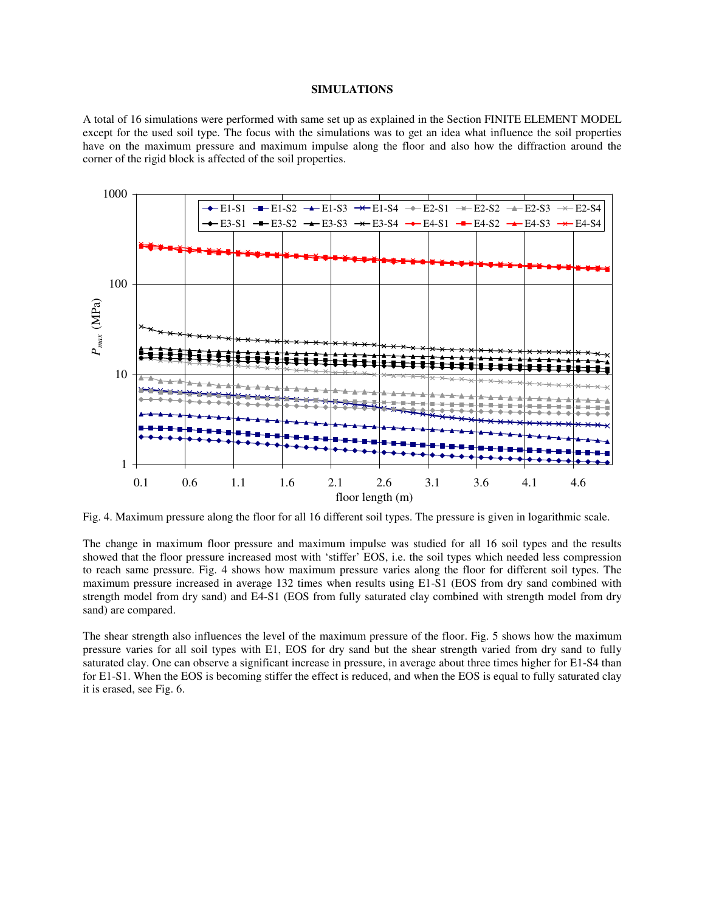# **SIMULATIONS**

A total of 16 simulations were performed with same set up as explained in the Section FINITE ELEMENT MODEL except for the used soil type. The focus with the simulations was to get an idea what influence the soil properties have on the maximum pressure and maximum impulse along the floor and also how the diffraction around the corner of the rigid block is affected of the soil properties.



Fig. 4. Maximum pressure along the floor for all 16 different soil types. The pressure is given in logarithmic scale.

The change in maximum floor pressure and maximum impulse was studied for all 16 soil types and the results showed that the floor pressure increased most with 'stiffer' EOS, i.e. the soil types which needed less compression to reach same pressure. Fig. 4 shows how maximum pressure varies along the floor for different soil types. The maximum pressure increased in average 132 times when results using E1-S1 (EOS from dry sand combined with strength model from dry sand) and E4-S1 (EOS from fully saturated clay combined with strength model from dry sand) are compared.

The shear strength also influences the level of the maximum pressure of the floor. Fig. 5 shows how the maximum pressure varies for all soil types with E1, EOS for dry sand but the shear strength varied from dry sand to fully saturated clay. One can observe a significant increase in pressure, in average about three times higher for E1-S4 than for E1-S1. When the EOS is becoming stiffer the effect is reduced, and when the EOS is equal to fully saturated clay it is erased, see Fig. 6.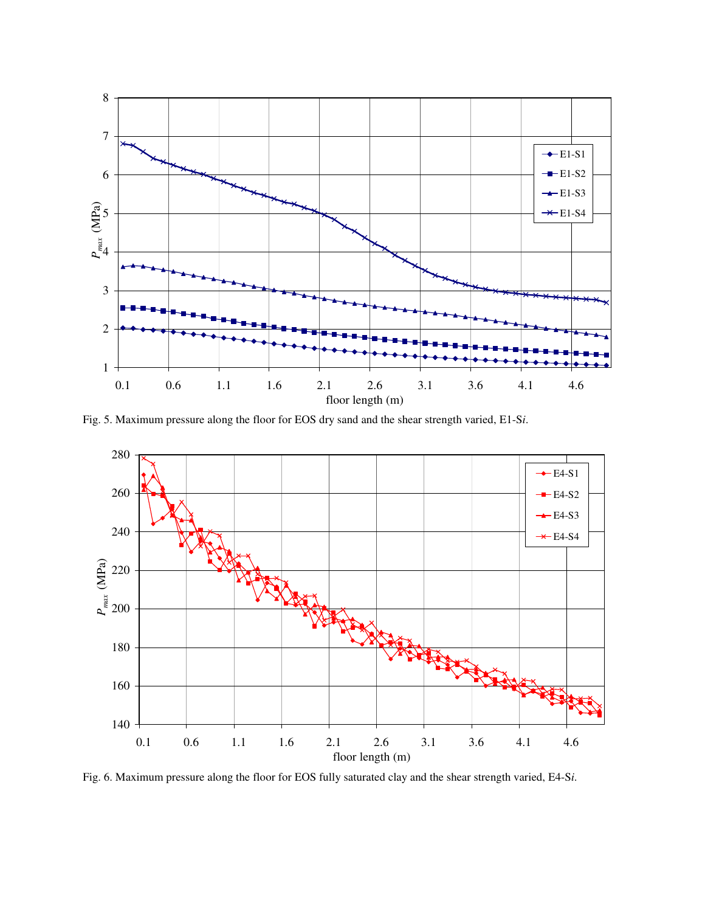

Fig. 5. Maximum pressure along the floor for EOS dry sand and the shear strength varied, E1-S*i*.



Fig. 6. Maximum pressure along the floor for EOS fully saturated clay and the shear strength varied, E4-S*i*.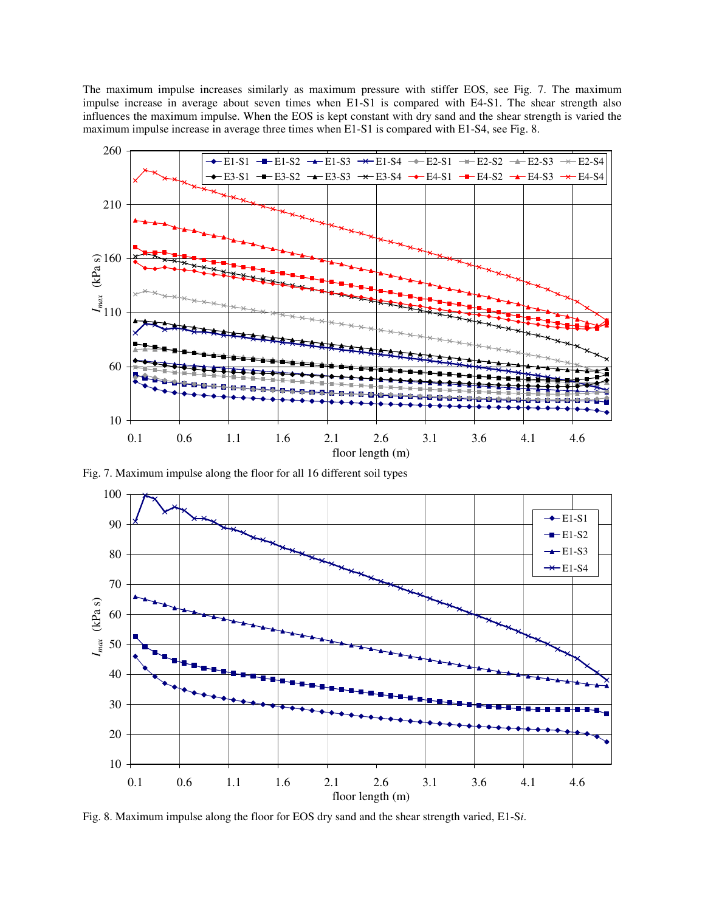The maximum impulse increases similarly as maximum pressure with stiffer EOS, see Fig. 7. The maximum impulse increase in average about seven times when E1-S1 is compared with E4-S1. The shear strength also influences the maximum impulse. When the EOS is kept constant with dry sand and the shear strength is varied the maximum impulse increase in average three times when E1-S1 is compared with E1-S4, see Fig. 8.



Fig. 7. Maximum impulse along the floor for all 16 different soil types



Fig. 8. Maximum impulse along the floor for EOS dry sand and the shear strength varied, E1-S*i*.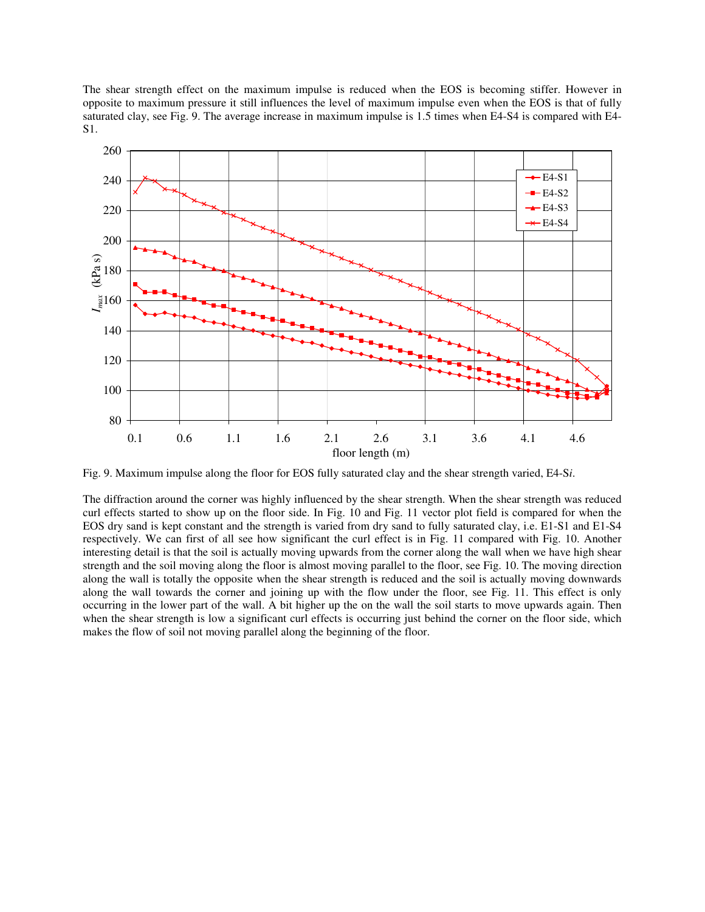The shear strength effect on the maximum impulse is reduced when the EOS is becoming stiffer. However in opposite to maximum pressure it still influences the level of maximum impulse even when the EOS is that of fully saturated clay, see Fig. 9. The average increase in maximum impulse is 1.5 times when E4-S4 is compared with E4- S1.



Fig. 9. Maximum impulse along the floor for EOS fully saturated clay and the shear strength varied, E4-S*i*.

The diffraction around the corner was highly influenced by the shear strength. When the shear strength was reduced curl effects started to show up on the floor side. In Fig. 10 and Fig. 11 vector plot field is compared for when the EOS dry sand is kept constant and the strength is varied from dry sand to fully saturated clay, i.e. E1-S1 and E1-S4 respectively. We can first of all see how significant the curl effect is in Fig. 11 compared with Fig. 10. Another interesting detail is that the soil is actually moving upwards from the corner along the wall when we have high shear strength and the soil moving along the floor is almost moving parallel to the floor, see Fig. 10. The moving direction along the wall is totally the opposite when the shear strength is reduced and the soil is actually moving downwards along the wall towards the corner and joining up with the flow under the floor, see Fig. 11. This effect is only occurring in the lower part of the wall. A bit higher up the on the wall the soil starts to move upwards again. Then when the shear strength is low a significant curl effects is occurring just behind the corner on the floor side, which makes the flow of soil not moving parallel along the beginning of the floor.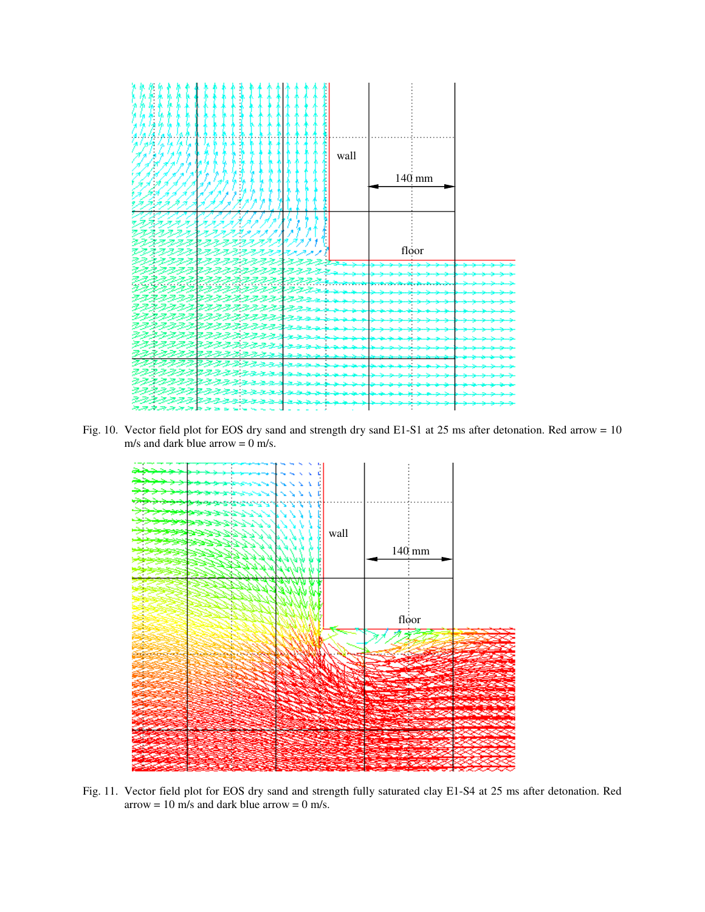

Fig. 10. Vector field plot for EOS dry sand and strength dry sand E1-S1 at 25 ms after detonation. Red arrow = 10 m/s and dark blue arrow = 0 m/s.



Fig. 11. Vector field plot for EOS dry sand and strength fully saturated clay E1-S4 at 25 ms after detonation. Red arrow = 10 m/s and dark blue arrow = 0 m/s.